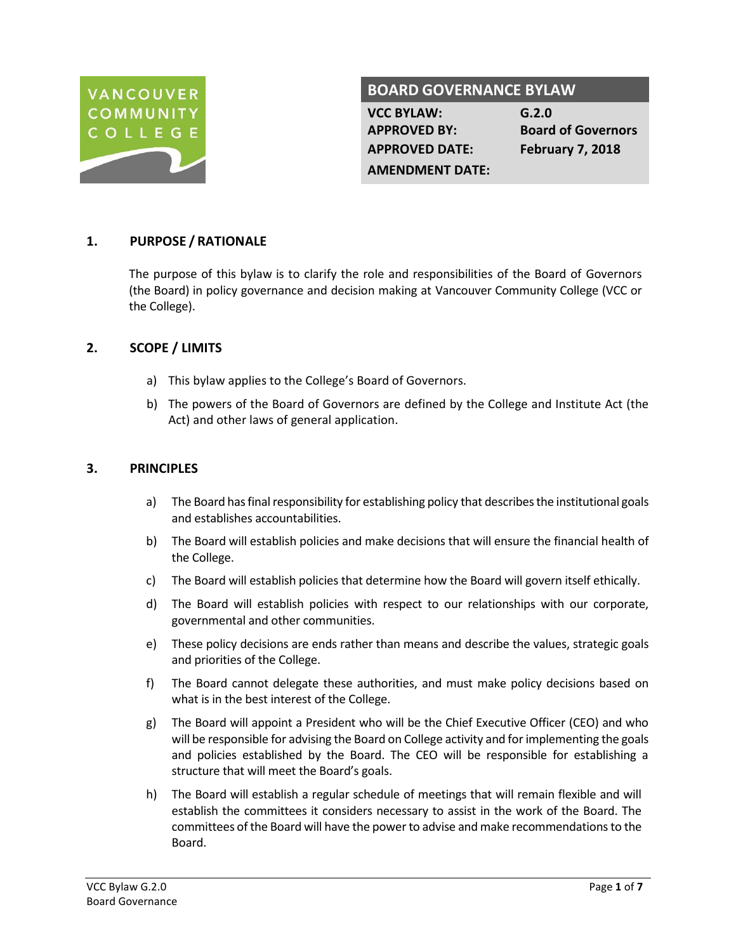

# **BOARD GOVERNANCE BYLAW**

**VCC BYLAW: G.2.0 APPROVED DATE: February 7, 2018**

**APPROVED BY: Board of Governors**

### **AMENDMENT DATE:**

# **1. PURPOSE / RATIONALE**

The purpose of this bylaw is to clarify the role and responsibilities of the Board of Governors (the Board) in policy governance and decision making at Vancouver Community College (VCC or the College).

## **2. SCOPE / LIMITS**

- a) This bylaw applies to the College's Board of Governors.
- b) The powers of the Board of Governors are defined by the College and Institute Act (the Act) and other laws of general application.

### **3. PRINCIPLES**

- a) The Board has final responsibility for establishing policy that describes the institutional goals and establishes accountabilities.
- b) The Board will establish policies and make decisions that will ensure the financial health of the College.
- c) The Board will establish policies that determine how the Board will govern itself ethically.
- d) The Board will establish policies with respect to our relationships with our corporate, governmental and other communities.
- e) These policy decisions are ends rather than means and describe the values, strategic goals and priorities of the College.
- f) The Board cannot delegate these authorities, and must make policy decisions based on what is in the best interest of the College.
- g) The Board will appoint a President who will be the Chief Executive Officer (CEO) and who will be responsible for advising the Board on College activity and for implementing the goals and policies established by the Board. The CEO will be responsible for establishing a structure that will meet the Board's goals.
- h) The Board will establish a regular schedule of meetings that will remain flexible and will establish the committees it considers necessary to assist in the work of the Board. The committees of the Board will have the power to advise and make recommendations to the Board.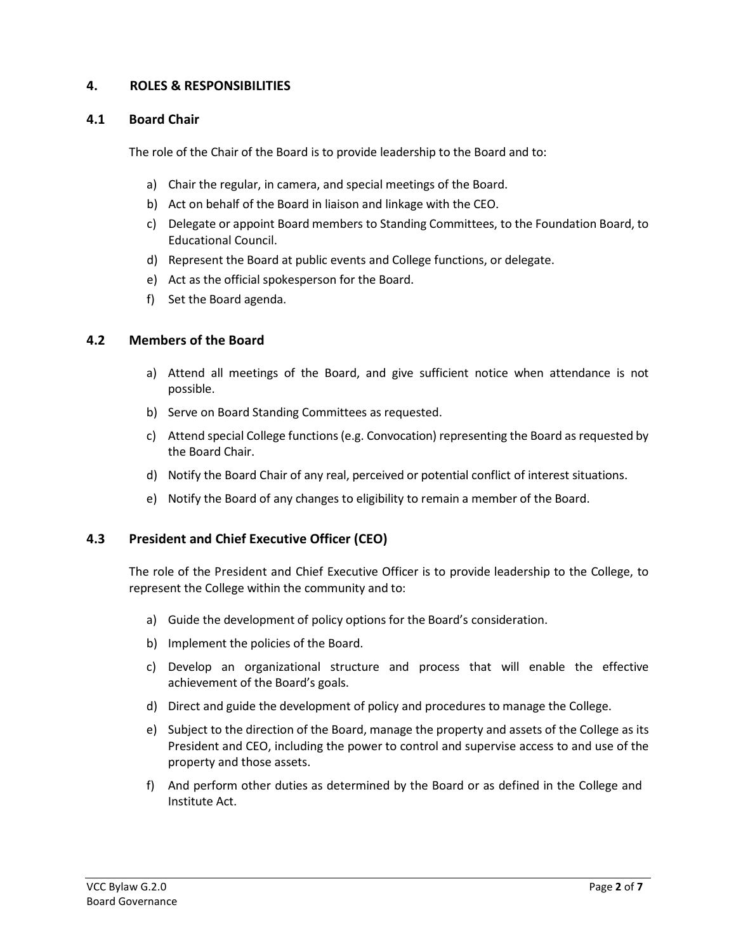# **4. ROLES & RESPONSIBILITIES**

### **4.1 Board Chair**

The role of the Chair of the Board is to provide leadership to the Board and to:

- a) Chair the regular, in camera, and special meetings of the Board.
- b) Act on behalf of the Board in liaison and linkage with the CEO.
- c) Delegate or appoint Board members to Standing Committees, to the Foundation Board, to Educational Council.
- d) Represent the Board at public events and College functions, or delegate.
- e) Act as the official spokesperson for the Board.
- f) Set the Board agenda.

### **4.2 Members of the Board**

- a) Attend all meetings of the Board, and give sufficient notice when attendance is not possible.
- b) Serve on Board Standing Committees as requested.
- c) Attend special College functions (e.g. Convocation) representing the Board as requested by the Board Chair.
- d) Notify the Board Chair of any real, perceived or potential conflict of interest situations.
- e) Notify the Board of any changes to eligibility to remain a member of the Board.

## **4.3 President and Chief Executive Officer (CEO)**

The role of the President and Chief Executive Officer is to provide leadership to the College, to represent the College within the community and to:

- a) Guide the development of policy options for the Board's consideration.
- b) Implement the policies of the Board.
- c) Develop an organizational structure and process that will enable the effective achievement of the Board's goals.
- d) Direct and guide the development of policy and procedures to manage the College.
- e) Subject to the direction of the Board, manage the property and assets of the College as its President and CEO, including the power to control and supervise access to and use of the property and those assets.
- f) And perform other duties as determined by the Board or as defined in the College and Institute Act.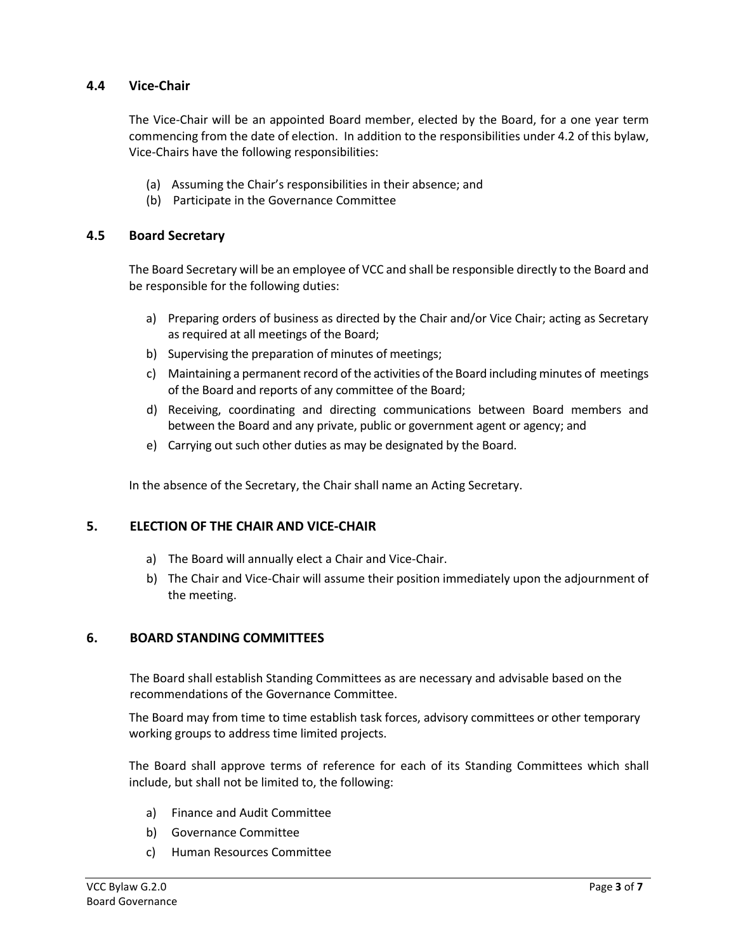# **4.4 Vice-Chair**

The Vice-Chair will be an appointed Board member, elected by the Board, for a one year term commencing from the date of election. In addition to the responsibilities under 4.2 of this bylaw, Vice-Chairs have the following responsibilities:

- (a) Assuming the Chair's responsibilities in their absence; and
- (b) Participate in the Governance Committee

### **4.5 Board Secretary**

The Board Secretary will be an employee of VCC and shall be responsible directly to the Board and be responsible for the following duties:

- a) Preparing orders of business as directed by the Chair and/or Vice Chair; acting as Secretary as required at all meetings of the Board;
- b) Supervising the preparation of minutes of meetings;
- c) Maintaining a permanent record of the activities of the Board including minutes of meetings of the Board and reports of any committee of the Board;
- d) Receiving, coordinating and directing communications between Board members and between the Board and any private, public or government agent or agency; and
- e) Carrying out such other duties as may be designated by the Board.

In the absence of the Secretary, the Chair shall name an Acting Secretary.

### **5. ELECTION OF THE CHAIR AND VICE-CHAIR**

- a) The Board will annually elect a Chair and Vice-Chair.
- b) The Chair and Vice-Chair will assume their position immediately upon the adjournment of the meeting.

### **6. BOARD STANDING COMMITTEES**

The Board shall establish Standing Committees as are necessary and advisable based on the recommendations of the Governance Committee.

The Board may from time to time establish task forces, advisory committees or other temporary working groups to address time limited projects.

The Board shall approve terms of reference for each of its Standing Committees which shall include, but shall not be limited to, the following:

- a) Finance and Audit Committee
- b) Governance Committee
- c) Human Resources Committee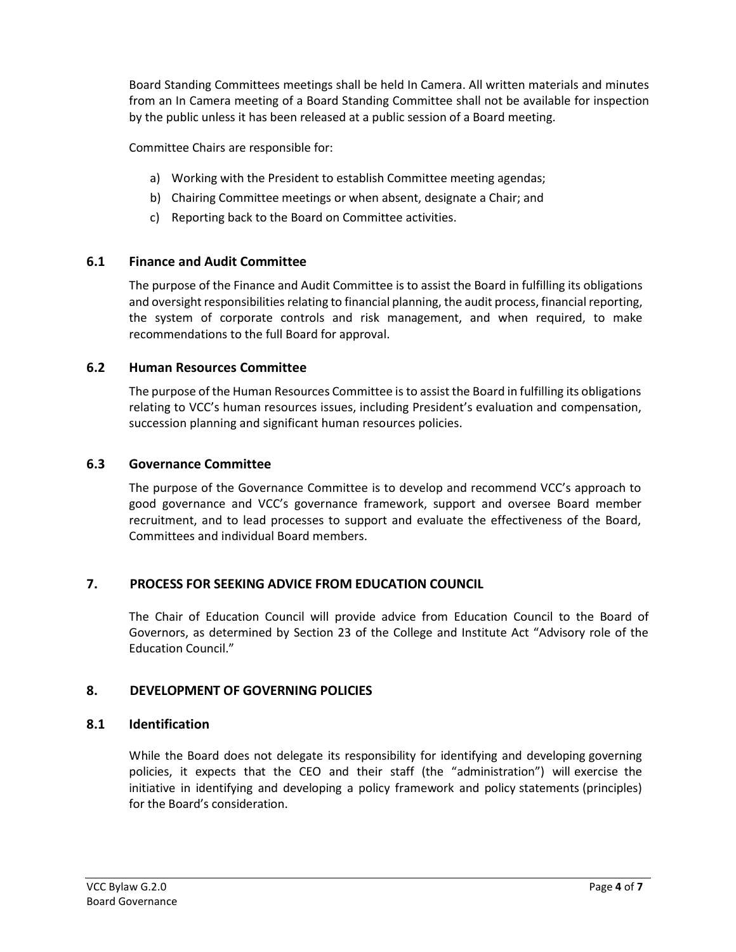Board Standing Committees meetings shall be held In Camera. All written materials and minutes from an In Camera meeting of a Board Standing Committee shall not be available for inspection by the public unless it has been released at a public session of a Board meeting.

Committee Chairs are responsible for:

- a) Working with the President to establish Committee meeting agendas;
- b) Chairing Committee meetings or when absent, designate a Chair; and
- c) Reporting back to the Board on Committee activities.

# **6.1 Finance and Audit Committee**

The purpose of the Finance and Audit Committee is to assist the Board in fulfilling its obligations and oversight responsibilities relating to financial planning, the audit process, financial reporting, the system of corporate controls and risk management, and when required, to make recommendations to the full Board for approval.

# **6.2 Human Resources Committee**

The purpose of the Human Resources Committee is to assist the Board in fulfilling its obligations relating to VCC's human resources issues, including President's evaluation and compensation, succession planning and significant human resources policies.

## **6.3 Governance Committee**

The purpose of the Governance Committee is to develop and recommend VCC's approach to good governance and VCC's governance framework, support and oversee Board member recruitment, and to lead processes to support and evaluate the effectiveness of the Board, Committees and individual Board members.

# **7. PROCESS FOR SEEKING ADVICE FROM EDUCATION COUNCIL**

The Chair of Education Council will provide advice from Education Council to the Board of Governors, as determined by Section 23 of the College and Institute Act "Advisory role of the Education Council."

# **8. DEVELOPMENT OF GOVERNING POLICIES**

## **8.1 Identification**

While the Board does not delegate its responsibility for identifying and developing governing policies, it expects that the CEO and their staff (the "administration") will exercise the initiative in identifying and developing a policy framework and policy statements (principles) for the Board's consideration.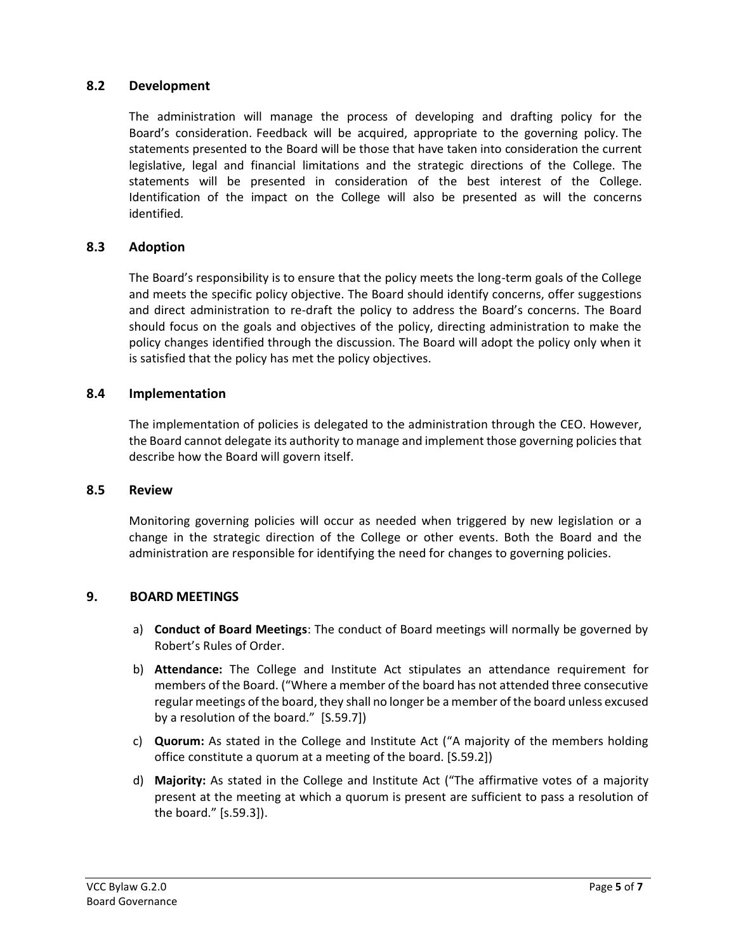## **8.2 Development**

The administration will manage the process of developing and drafting policy for the Board's consideration. Feedback will be acquired, appropriate to the governing policy. The statements presented to the Board will be those that have taken into consideration the current legislative, legal and financial limitations and the strategic directions of the College. The statements will be presented in consideration of the best interest of the College. Identification of the impact on the College will also be presented as will the concerns identified.

### **8.3 Adoption**

The Board's responsibility is to ensure that the policy meets the long-term goals of the College and meets the specific policy objective. The Board should identify concerns, offer suggestions and direct administration to re-draft the policy to address the Board's concerns. The Board should focus on the goals and objectives of the policy, directing administration to make the policy changes identified through the discussion. The Board will adopt the policy only when it is satisfied that the policy has met the policy objectives.

### **8.4 Implementation**

The implementation of policies is delegated to the administration through the CEO. However, the Board cannot delegate its authority to manage and implement those governing policies that describe how the Board will govern itself.

### **8.5 Review**

Monitoring governing policies will occur as needed when triggered by new legislation or a change in the strategic direction of the College or other events. Both the Board and the administration are responsible for identifying the need for changes to governing policies.

### **9. BOARD MEETINGS**

- a) **Conduct of Board Meetings**: The conduct of Board meetings will normally be governed by Robert's Rules of Order.
- b) **Attendance:** The College and Institute Act stipulates an attendance requirement for members of the Board. ("Where a member of the board has not attended three consecutive regular meetings of the board, they shall no longer be a member of the board unless excused by a resolution of the board." [S.59.7])
- c) **Quorum:** As stated in the College and Institute Act ("A majority of the members holding office constitute a quorum at a meeting of the board. [S.59.2])
- d) **Majority:** As stated in the College and Institute Act ("The affirmative votes of a majority present at the meeting at which a quorum is present are sufficient to pass a resolution of the board." [s.59.3]).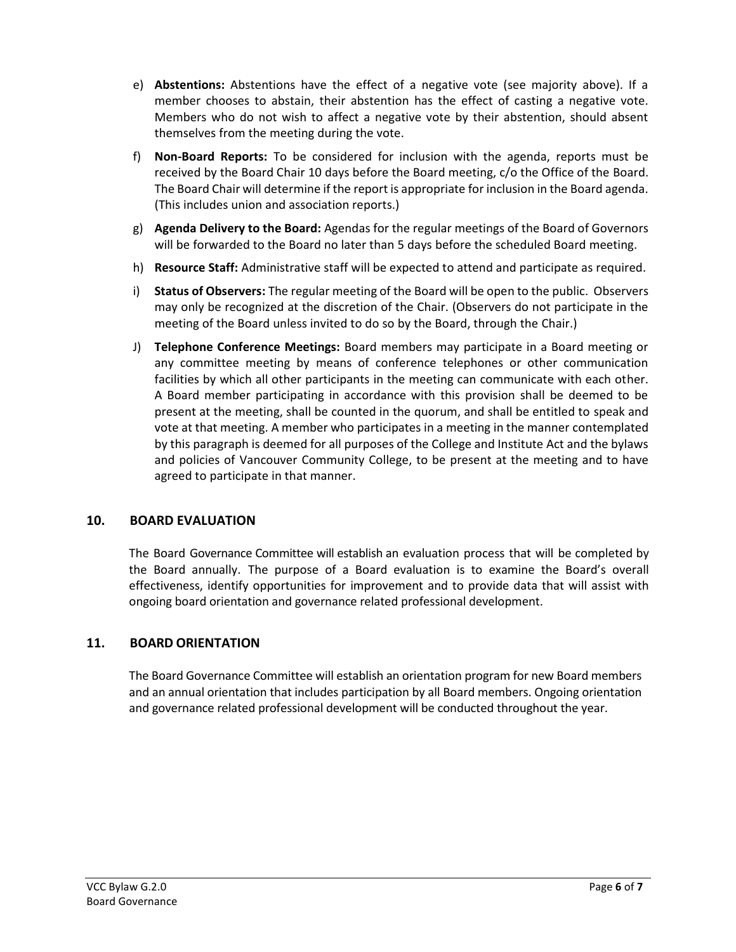- e) **Abstentions:** Abstentions have the effect of a negative vote (see majority above). If a member chooses to abstain, their abstention has the effect of casting a negative vote. Members who do not wish to affect a negative vote by their abstention, should absent themselves from the meeting during the vote.
- f) **Non-Board Reports:** To be considered for inclusion with the agenda, reports must be received by the Board Chair 10 days before the Board meeting, c/o the Office of the Board. The Board Chair will determine if the report is appropriate for inclusion in the Board agenda. (This includes union and association reports.)
- g) **Agenda Delivery to the Board:** Agendas for the regular meetings of the Board of Governors will be forwarded to the Board no later than 5 days before the scheduled Board meeting.
- h) **Resource Staff:** Administrative staff will be expected to attend and participate as required.
- i) **Status of Observers:** The regular meeting of the Board will be open to the public. Observers may only be recognized at the discretion of the Chair. (Observers do not participate in the meeting of the Board unless invited to do so by the Board, through the Chair.)
- J) **Telephone Conference Meetings:** Board members may participate in a Board meeting or any committee meeting by means of conference telephones or other communication facilities by which all other participants in the meeting can communicate with each other. A Board member participating in accordance with this provision shall be deemed to be present at the meeting, shall be counted in the quorum, and shall be entitled to speak and vote at that meeting. A member who participates in a meeting in the manner contemplated by this paragraph is deemed for all purposes of the College and Institute Act and the bylaws and policies of Vancouver Community College, to be present at the meeting and to have agreed to participate in that manner.

## **10. BOARD EVALUATION**

The Board Governance Committee will establish an evaluation process that will be completed by the Board annually. The purpose of a Board evaluation is to examine the Board's overall effectiveness, identify opportunities for improvement and to provide data that will assist with ongoing board orientation and governance related professional development.

## **11. BOARD ORIENTATION**

The Board Governance Committee will establish an orientation program for new Board members and an annual orientation that includes participation by all Board members. Ongoing orientation and governance related professional development will be conducted throughout the year.